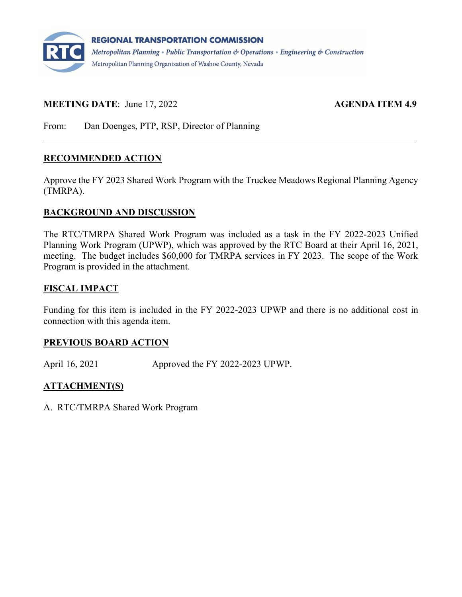

## **MEETING DATE:** June 17, 2022 **AGENDA ITEM 4.9**

From: Dan Doenges, PTP, RSP, Director of Planning

## **RECOMMENDED ACTION**

Approve the FY 2023 Shared Work Program with the Truckee Meadows Regional Planning Agency (TMRPA).

## **BACKGROUND AND DISCUSSION**

The RTC/TMRPA Shared Work Program was included as a task in the FY 2022-2023 Unified Planning Work Program (UPWP), which was approved by the RTC Board at their April 16, 2021, meeting. The budget includes \$60,000 for TMRPA services in FY 2023. The scope of the Work Program is provided in the attachment.

## **FISCAL IMPACT**

Funding for this item is included in the FY 2022-2023 UPWP and there is no additional cost in connection with this agenda item.

## **PREVIOUS BOARD ACTION**

April 16, 2021 Approved the FY 2022-2023 UPWP.

## **ATTACHMENT(S)**

A. RTC/TMRPA Shared Work Program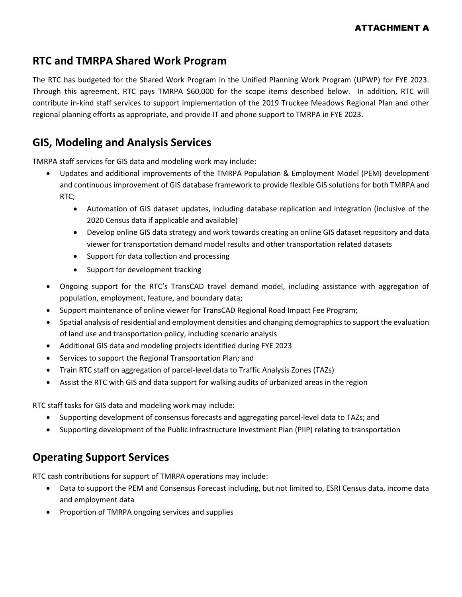## ATTACHMENT A

# **RTC and TMRPA Shared Work Program**

The RTC has budgeted for the Shared Work Program in the Unified Planning Work Program (UPWP) for FYE 2023. Through this agreement, RTC pays TMRPA \$60,000 for the scope items described below. In addition, RTC will contribute in-kind staff services to support implementation of the 2019 Truckee Meadows Regional Plan and other regional planning efforts as appropriate, and provide IT and phone support to TMRPA in FYE 2023.

## **GIS, Modeling and Analysis Services**

TMRPA staff services for GIS data and modeling work may include:

- Updates and additional improvements of the TMRPA Population & Employment Model (PEM) development and continuous improvement of GIS database framework to provide flexible GIS solutions for both TMRPA and RTC;
	- Automation of GIS dataset updates, including database replication and integration (inclusive of the 2020 Census data if applicable and available)
	- Develop online GIS data strategy and work towards creating an online GIS dataset repository and data viewer for transportation demand model results and other transportation related datasets
	- Support for data collection and processing
	- Support for development tracking
- Ongoing support for the RTC's TransCAD travel demand model, including assistance with aggregation of population, employment, feature, and boundary data;
- Support maintenance of online viewer for TransCAD Regional Road Impact Fee Program;
- Spatial analysis of residential and employment densities and changing demographics to support the evaluation of land use and transportation policy, including scenario analysis
- Additional GIS data and modeling projects identified during FYE 2023
- Services to support the Regional Transportation Plan; and
- Train RTC staff on aggregation of parcel-level data to Traffic Analysis Zones (TAZs)
- Assist the RTC with GIS and data support for walking audits of urbanized areas in the region

RTC staff tasks for GIS data and modeling work may include:

- Supporting development of consensus forecasts and aggregating parcel-level data to TAZs; and
- Supporting development of the Public Infrastructure Investment Plan (PIIP) relating to transportation

# **Operating Support Services**

RTC cash contributions for support of TMRPA operations may include:

- Data to support the PEM and Consensus Forecast including, but not limited to, ESRI Census data, income data and employment data
- Proportion of TMRPA ongoing services and supplies